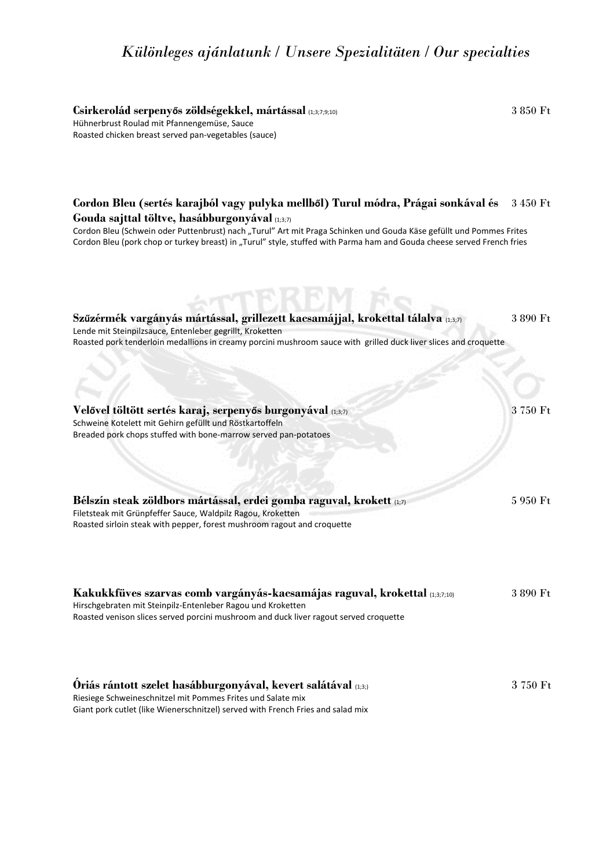# *Különleges ajánlatunk / Unsere Spezialitäten / Our specialties*

**Csirkerolád serpenyős zöldségekkel, mártással** (1;3;7;9;10)3 850 Ft Hühnerbrust Roulad mit Pfannengemüse, Sauce Roasted chicken breast served pan-vegetables (sauce)

| Cordon Bleu (sertés karajból vagy pulyka mellből) Turul módra, Prágai sonkával és<br>Gouda sajttal töltve, hasábburgonyával (1,3,7)<br>Cordon Bleu (Schwein oder Puttenbrust) nach "Turul" Art mit Praga Schinken und Gouda Käse gefüllt und Pommes Frites<br>Cordon Bleu (pork chop or turkey breast) in "Turul" style, stuffed with Parma ham and Gouda cheese served French fries | 3 450 Ft |
|--------------------------------------------------------------------------------------------------------------------------------------------------------------------------------------------------------------------------------------------------------------------------------------------------------------------------------------------------------------------------------------|----------|
| Szűzérmék vargányás mártással, grillezett kacsamájjal, krokettal tálalva (1,3,7)<br>Lende mit Steinpilzsauce, Entenleber gegrillt, Kroketten<br>Roasted pork tenderloin medallions in creamy porcini mushroom sauce with grilled duck liver slices and croquette                                                                                                                     | 3 890 Ft |
| Velővel töltött sertés karaj, serpenyős burgonyával (1,37)<br>Schweine Kotelett mit Gehirn gefüllt und Röstkartoffeln<br>Breaded pork chops stuffed with bone-marrow served pan-potatoes                                                                                                                                                                                             | 3 750 Ft |
| Bélszín steak zöldbors mártással, erdei gomba raguval, krokett (1;7)<br>Filetsteak mit Grünpfeffer Sauce, Waldpilz Ragou, Kroketten<br>Roasted sirloin steak with pepper, forest mushroom ragout and croquette                                                                                                                                                                       | 5 950 Ft |
| Kakukkfüves szarvas comb vargányás-kacsamájas raguval, krokettal (1,3,7,10)<br>Hirschgebraten mit Steinpilz-Entenleber Ragou und Kroketten<br>Roasted venison slices served porcini mushroom and duck liver ragout served croquette                                                                                                                                                  | 3 890 Ft |
| Oriás rántott szelet hasábburgonyával, kevert salátával (1,3;)<br>Riesiege Schweineschnitzel mit Pommes Frites und Salate mix<br>Giant pork cutlet (like Wienerschnitzel) served with French Fries and salad mix                                                                                                                                                                     | 3750 Ft  |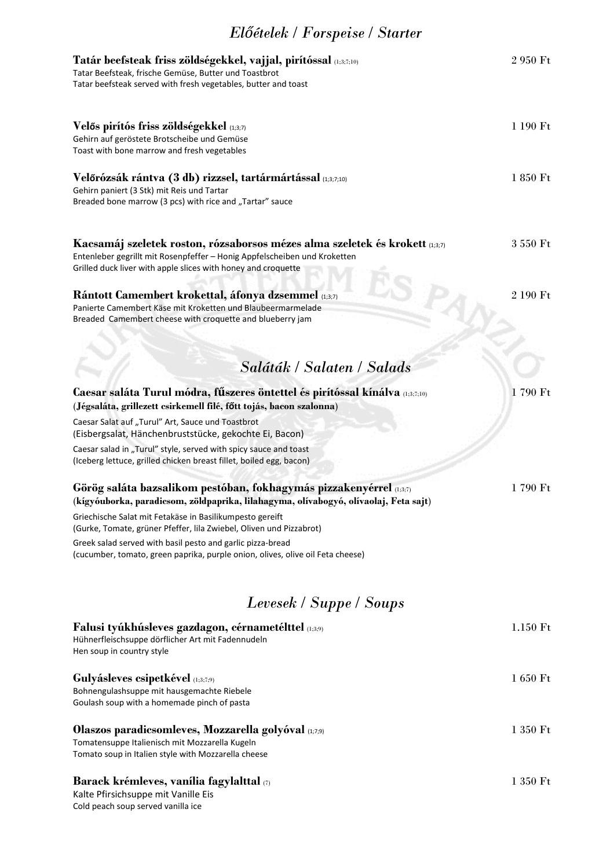# *Előételek / Forspeise / Starter*

| Tatár beefsteak friss zöldségekkel, vajjal, pirítóssal (1;3;7;10)<br>Tatar Beefsteak, frische Gemüse, Butter und Toastbrot<br>Tatar beefsteak served with fresh vegetables, butter and toast                               | 2 950 Ft |
|----------------------------------------------------------------------------------------------------------------------------------------------------------------------------------------------------------------------------|----------|
| Velős pirítós friss zöldségekkel (1;3;7)<br>Gehirn auf geröstete Brotscheibe und Gemüse<br>Toast with bone marrow and fresh vegetables                                                                                     | 1 190 Ft |
| Velőrózsák rántva (3 db) rizzsel, tartármártással (1;3;7;10)<br>Gehirn paniert (3 Stk) mit Reis und Tartar<br>Breaded bone marrow (3 pcs) with rice and "Tartar" sauce                                                     | 1 850 Ft |
| Kacsamáj szeletek roston, rózsaborsos mézes alma szeletek és krokett (1;3;7)<br>Entenleber gegrillt mit Rosenpfeffer - Honig Appfelscheiben und Kroketten<br>Grilled duck liver with apple slices with honey and croquette | 3 550 Ft |
| Rántott Camembert krokettal, áfonya dzsemmel (1,37)<br>Panierte Camembert Käse mit Kroketten und Blaubeermarmelade<br>Breaded Camembert cheese with croquette and blueberry jam                                            | 2 190 Ft |
| Saláták / Salaten / Salads                                                                                                                                                                                                 |          |
| Caesar saláta Turul módra, fűszeres öntettel és pirítóssal kínálva (1,3,7,10)<br>(Jégsaláta, grillezett csirkemell filé, főtt tojás, bacon szalonna)                                                                       | 1790 Ft  |
| Caesar Salat auf "Turul" Art, Sauce und Toastbrot<br>(Eisbergsalat, Hänchenbruststücke, gekochte Ei, Bacon)                                                                                                                |          |
| Caesar salad in "Turul" style, served with spicy sauce and toast<br>(Iceberg lettuce, grilled chicken breast fillet, boiled egg, bacon)                                                                                    |          |
| Görög saláta bazsalikom pestóban, fokhagymás pizzakenyérrel (1,3,7)<br>(kígyóuborka, paradicsom, zöldpaprika, lilahagyma, olívabogyó, olívaolaj, Feta sajt)                                                                | 1790 Ft  |
| Griechische Salat mit Fetakäse in Basilikumpesto gereift<br>(Gurke, Tomate, grüner Pfeffer, lila Zwiebel, Oliven und Pizzabrot)                                                                                            |          |
| Greek salad served with basil pesto and garlic pizza-bread<br>(cucumber, tomato, green paprika, purple onion, olives, olive oil Feta cheese)                                                                               |          |
| Levesek / Suppe / Soups                                                                                                                                                                                                    |          |
| Falusi tyúkhúsleves gazdagon, cérnametélttel (1,3,9)<br>Hühnerfleischsuppe dörflicher Art mit Fadennudeln<br>Hen soup in country style                                                                                     | 1.150 Ft |
| Gulyásleves csipetkével (1;3;7;9)<br>Bohnengulashsuppe mit hausgemachte Riebele<br>Goulash soup with a homemade pinch of pasta                                                                                             | 1 650 Ft |
| Olaszos paradicsomleves, Mozzarella golyóval (1,7;9)<br>Tomatensuppe Italienisch mit Mozzarella Kugeln<br>Tomato soup in Italien style with Mozzarella cheese                                                              | 1 350 Ft |
| Barack krémleves, vanília fagylalttal (7)<br>Kalte Pfirsichsuppe mit Vanille Eis<br>Cold peach soup served vanilla ice                                                                                                     | 1 350 Ft |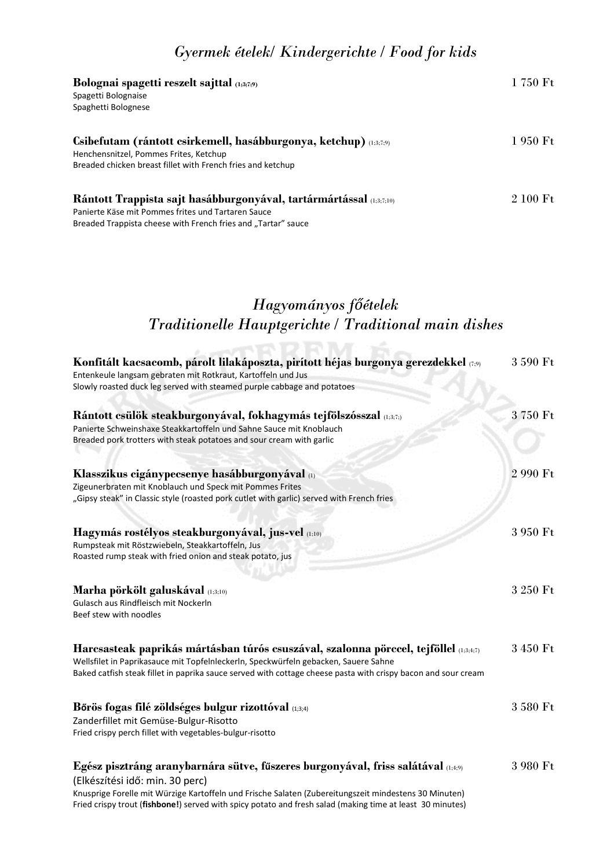### *Gyermek ételek/ Kindergerichte / Food for kids*

| Bolognai spagetti reszelt sajttal (1,3,7,9)                         | 1 750 Ft |
|---------------------------------------------------------------------|----------|
| Spagetti Bolognaise                                                 |          |
| Spaghetti Bolognese                                                 |          |
| Csibefutam (rántott csirkemell, hasábburgonya, ketchup) (1,3,7,9)   | 1 950 Ft |
| Henchensnitzel, Pommes Frites, Ketchup                              |          |
| Breaded chicken breast fillet with French fries and ketchup         |          |
| Rántott Trappista sajt hasábburgonyával, tartármártással (1;3;7;10) | 2 100 Ft |
| Panierte Käse mit Pommes frites und Tartaren Sauce                  |          |
| Breaded Trappista cheese with French fries and "Tartar" sauce       |          |

# *Hagyományos főételek Traditionelle Hauptgerichte / Traditional main dishes*

| Konfitált kacsacomb, párolt lilakáposzta, pirított héjas burgonya gerezdekkel (7;9)                                                     | 3 590 Ft |
|-----------------------------------------------------------------------------------------------------------------------------------------|----------|
| Entenkeule langsam gebraten mit Rotkraut, Kartoffeln und Jus<br>Slowly roasted duck leg served with steamed purple cabbage and potatoes |          |
|                                                                                                                                         |          |
| Rántott csülök steakburgonyával, fokhagymás tejfölszósszal (1;3;7;)                                                                     | 3750 Ft  |
| Panierte Schweinshaxe Steakkartoffeln und Sahne Sauce mit Knoblauch                                                                     |          |
| Breaded pork trotters with steak potatoes and sour cream with garlic                                                                    |          |
| Klasszikus cigánypecsenye hasábburgonyával (1)                                                                                          | 2 990 Ft |
| Zigeunerbraten mit Knoblauch und Speck mit Pommes Frites                                                                                |          |
| "Gipsy steak" in Classic style (roasted pork cutlet with garlic) served with French fries                                               |          |
| Hagymás rostélyos steakburgonyával, jus-vel (1;10)                                                                                      | 3 950 Ft |
| Rumpsteak mit Röstzwiebeln, Steakkartoffeln, Jus                                                                                        |          |
| Roasted rump steak with fried onion and steak potato, jus                                                                               |          |
| Marha pörkölt galuskával (1;3;10)                                                                                                       | 3 250 Ft |
| Gulasch aus Rindfleisch mit Nockerln                                                                                                    |          |
| Beef stew with noodles                                                                                                                  |          |
| Harcsasteak paprikás mártásban túrós csuszával, szalonna pörccel, tejföllel @5347)                                                      | 3 450 Ft |
| Wellsfilet in Paprikasauce mit Topfelnleckerln, Speckwürfeln gebacken, Sauere Sahne                                                     |          |
| Baked catfish steak fillet in paprika sauce served with cottage cheese pasta with crispy bacon and sour cream                           |          |
| Bőrös fogas filé zöldséges bulgur rizottóval (1,3;4)                                                                                    | 3 580 Ft |
| Zanderfillet mit Gemüse-Bulgur-Risotto                                                                                                  |          |
| Fried crispy perch fillet with vegetables-bulgur-risotto                                                                                |          |
| Egész pisztráng aranybarnára sütve, fűszeres burgonyával, friss salátával (1;4;9)                                                       | 3 980 Ft |
| (Elkészítési idő: min. 30 perc)                                                                                                         |          |
| Knusprige Forelle mit Würzige Kartoffeln und Frische Salaten (Zubereitungszeit mindestens 30 Minuten)                                   |          |
| Fried crispy trout (fishbone!) served with spicy potato and fresh salad (making time at least 30 minutes)                               |          |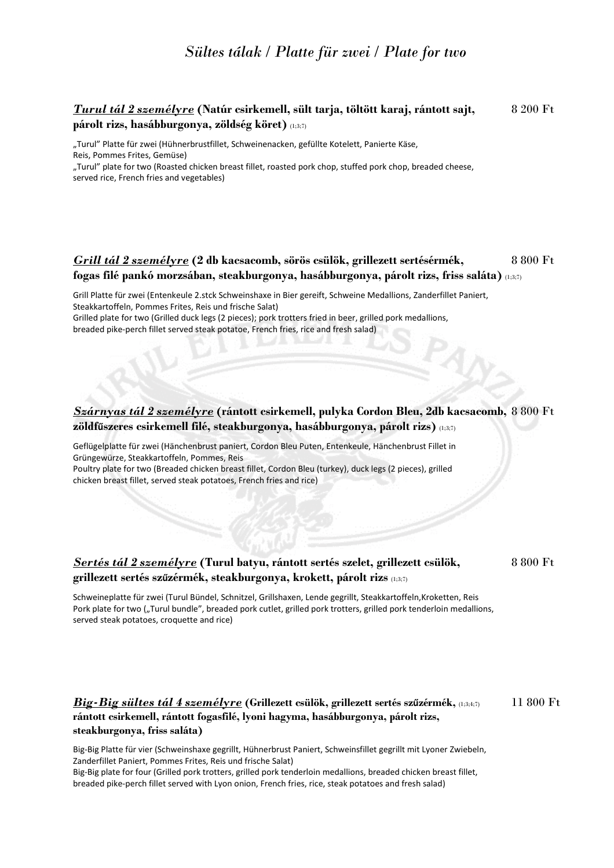### *Sültes tálak / Platte für zwei / Plate for two*

### *Turul tál 2 személyre* **(Natúr csirkemell, sült tarja, töltött karaj, rántott sajt,** 8 200 Ft **párolt rizs, hasábburgonya, zöldség köret)** (1;3;7)

"Turul" Platte für zwei (Hühnerbrustfillet, Schweinenacken, gefüllte Kotelett, Panierte Käse, Reis, Pommes Frites, Gemüse)

"Turul" plate for two (Roasted chicken breast fillet, roasted pork chop, stuffed pork chop, breaded cheese, served rice, French fries and vegetables)

### *Grill tál 2 személyre* **(2 db kacsacomb, sörös csülök, grillezett sertésérmék,** 8 800 Ft **fogas filé pankó morzsában, steakburgonya, hasábburgonya, párolt rizs, friss saláta)** (1;3;7)

Grill Platte für zwei (Entenkeule 2.stck Schweinshaxe in Bier gereift, Schweine Medallions, Zanderfillet Paniert, Steakkartoffeln, Pommes Frites, Reis und frische Salat) Grilled plate for two (Grilled duck legs (2 pieces); pork trotters fried in beer, grilled pork medallions,

breaded pike-perch fillet served steak potatoe, French fries, rice and fresh salad)

### *Szárnyas tál 2 személyre* **(rántott csirkemell, pulyka Cordon Bleu, 2db kacsacomb,** 8 800 Ft **zöldfűszeres csirkemell filé, steakburgonya, hasábburgonya, párolt rizs)** (1;3;7)

Geflügelplatte für zwei (Hänchenbrust paniert, Cordon Bleu Puten, Entenkeule, Hänchenbrust Fillet in Grüngewürze, Steakkartoffeln, Pommes, Reis

Poultry plate for two (Breaded chicken breast fillet, Cordon Bleu (turkey), duck legs (2 pieces), grilled chicken breast fillet, served steak potatoes, French fries and rice)

#### *Sertés tál 2 személyre* **(Turul batyu, rántott sertés szelet, grillezett csülök,** 8 800 Ft **grillezett sertés szűzérmék, steakburgonya, krokett, párolt rizs** (1;3;7)

Schweineplatte für zwei (Turul Bündel, Schnitzel, Grillshaxen, Lende gegrillt, Steakkartoffeln,Kroketten, Reis Pork plate for two ("Turul bundle", breaded pork cutlet, grilled pork trotters, grilled pork tenderloin medallions, served steak potatoes, croquette and rice)

### *Big-Big sültes tál 4 személyre* **(Grillezett csülök, grillezett sertés szűzérmék,** (1;3;4;7)11 800 Ft **rántott csirkemell, rántott fogasfilé, lyoni hagyma, hasábburgonya, párolt rizs, steakburgonya, friss saláta)**

Big-Big Platte für vier (Schweinshaxe gegrillt, Hühnerbrust Paniert, Schweinsfillet gegrillt mit Lyoner Zwiebeln, Zanderfillet Paniert, Pommes Frites, Reis und frische Salat)

Big-Big plate for four (Grilled pork trotters, grilled pork tenderloin medallions, breaded chicken breast fillet, breaded pike-perch fillet served with Lyon onion, French fries, rice, steak potatoes and fresh salad)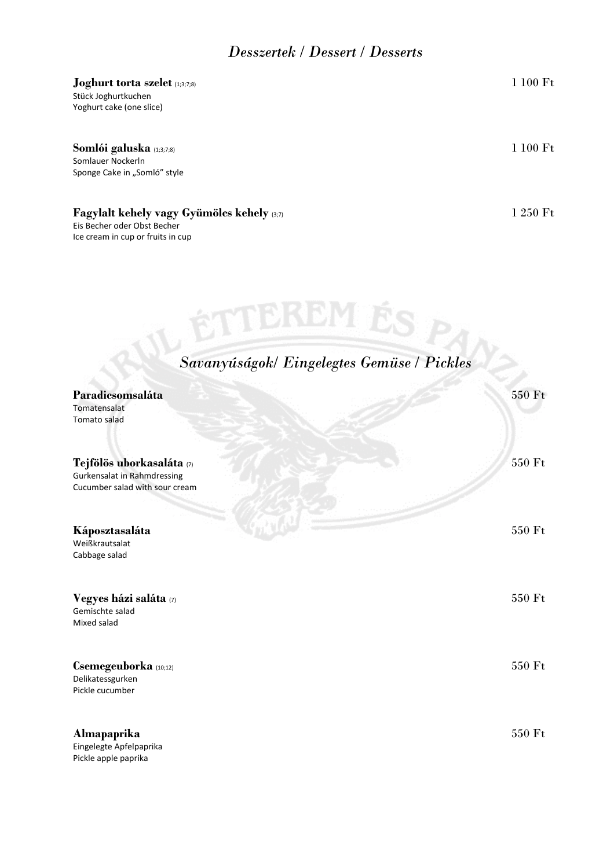### *Desszertek / Dessert / Desserts*

#### **Joghurt torta szelet** (1;3;7;8) **1 100 Ft**

Stück Joghurtkuchen Yoghurt cake (one slice)

### **Somlói galuska** (1;3;7;8)1 100 Ft

Somlauer Nockerln Sponge Cake in "Somló" style

### **Fagylalt kehely vagy Gyümölcs kehely** (3;7)1 250 Ft

Eis Becher oder Obst Becher Ice cream in cup or fruits in cup

| Savanyúságok/ Eingelegtes Gemüse / Pickles                                                        |        |
|---------------------------------------------------------------------------------------------------|--------|
| Paradicsomsaláta<br>Tomatensalat<br>Tomato salad                                                  | 550 Ft |
| Tejfölös uborkasaláta (7)<br><b>Gurkensalat in Rahmdressing</b><br>Cucumber salad with sour cream | 550 Ft |
| Káposztasaláta<br>Weißkrautsalat<br>Cabbage salad                                                 | 550 Ft |
| Vegyes házi saláta (7)<br>Gemischte salad<br>Mixed salad                                          | 550 Ft |
| Csemegeuborka (10;12)<br>Delikatessgurken<br>Pickle cucumber                                      | 550 Ft |
| Almapaprika<br>Eingelegte Apfelpaprika<br>Pickle apple paprika                                    | 550 Ft |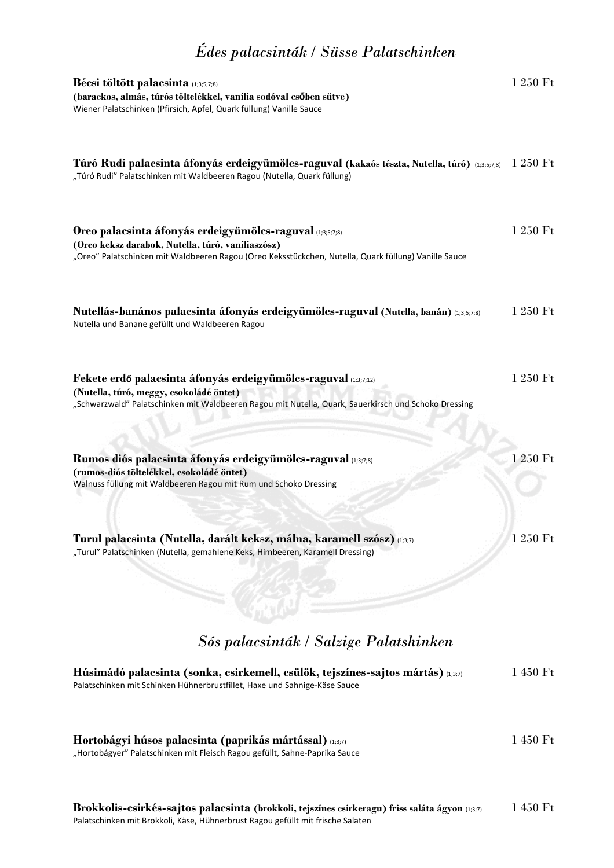# *Édes palacsinták / Süsse Palatschinken*

| Bécsi töltött palacsinta (1;3;5;7;8)<br>(barackos, almás, túrós töltelékkel, vanília sodóval csőben sütve)<br>Wiener Palatschinken (Pfirsich, Apfel, Quark füllung) Vanille Sauce                                      | 1 250 Ft          |
|------------------------------------------------------------------------------------------------------------------------------------------------------------------------------------------------------------------------|-------------------|
| Túró Rudi palacsinta áfonyás erdeigyümölcs-raguval (kakaós tészta, Nutella, túró) (1,3,5,7,8)<br>"Túró Rudi" Palatschinken mit Waldbeeren Ragou (Nutella, Quark füllung)                                               | 1 250 Ft          |
| Oreo palacsinta áfonyás erdeigyümölcs-raguval (1,3,5,7,8)<br>(Oreo keksz darabok, Nutella, túró, vaníliaszósz)<br>"Oreo" Palatschinken mit Waldbeeren Ragou (Oreo Keksstückchen, Nutella, Quark füllung) Vanille Sauce | 1 250 Ft          |
| Nutellás-banános palacsinta áfonyás erdeigyümölcs-raguval (Nutella, banán) (1,3,5,7,8)<br>Nutella und Banane gefüllt und Waldbeeren Ragou                                                                              | 1 250 Ft          |
| Fekete erdő palacsinta áfonyás erdeigyümölcs-raguval (1,3,7,12)<br>(Nutella, túró, meggy, csokoládé öntet)<br>"Schwarzwald" Palatschinken mit Waldbeeren Ragou mit Nutella, Quark, Sauerkirsch und Schoko Dressing     | 1 250 Ft          |
| Rumos diós palacsinta áfonyás erdeigyümölcs-raguval (1,3,7,8)<br>(rumos-diós töltelékkel, csokoládé öntet)<br>Walnuss füllung mit Waldbeeren Ragou mit Rum und Schoko Dressing                                         | 1 250 Ft          |
| Turul palacsinta (Nutella, darált keksz, málna, karamell szósz) (1;3;7)<br>"Turul" Palatschinken (Nutella, gemahlene Keks, Himbeeren, Karamell Dressing)                                                               | 1 250 Ft          |
| Sós palacsinták / Salzige Palatshinken                                                                                                                                                                                 |                   |
| Húsimádó palacsinta (sonka, csirkemell, csülök, tejszínes-sajtos mártás) (1,3,7)<br>Palatschinken mit Schinken Hühnerbrustfillet, Haxe und Sahnige-Käse Sauce                                                          | 1 450 Ft          |
| Hortobágyi húsos palacsinta (paprikás mártással) (1,37)<br>"Hortobágyer" Palatschinken mit Fleisch Ragou gefüllt, Sahne-Paprika Sauce                                                                                  | $1\;450\;\rm{Ft}$ |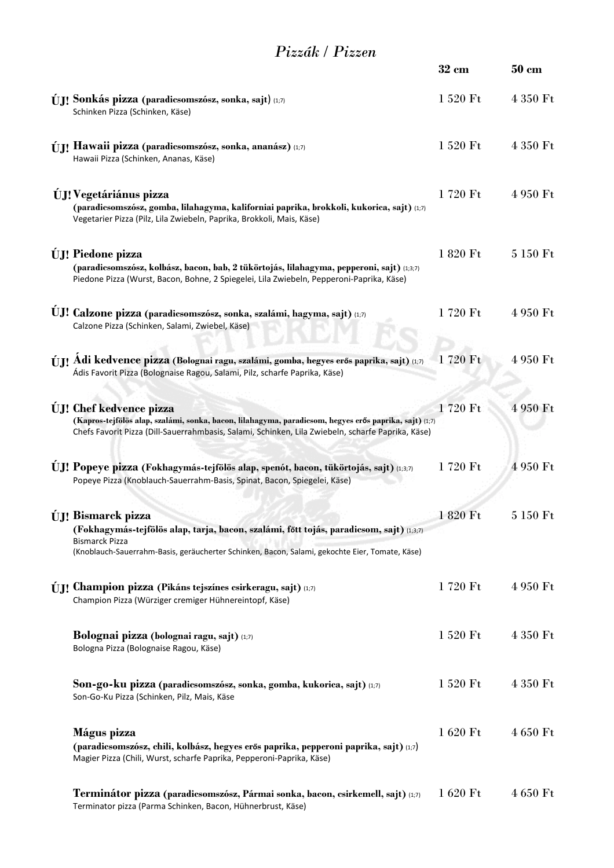### *Pizzák / Pizzen*

|                                                                                                                                                                                                                                                 | $32 \text{ cm}$ | $50 \text{ cm}$ |
|-------------------------------------------------------------------------------------------------------------------------------------------------------------------------------------------------------------------------------------------------|-----------------|-----------------|
| <b>ÚII</b> Sonkás pizza (paradicsomszósz, sonka, sajt) (1;7)<br>Schinken Pizza (Schinken, Käse)                                                                                                                                                 | 1 520 Ft        | 4 350 Ft        |
| <b>ÚII</b> Hawaii pizza (paradicsomszósz, sonka, ananász) (1;7)<br>Hawaii Pizza (Schinken, Ananas, Käse)                                                                                                                                        | 1 520 Ft        | 4 350 Ft        |
| <b>ÚI!</b> Vegetáriánus pizza<br>(paradicsomszósz, gomba, lilahagyma, kaliforniai paprika, brokkoli, kukorica, sajt) (1;7)<br>Vegetarier Pizza (Pilz, Lila Zwiebeln, Paprika, Brokkoli, Mais, Käse)                                             | 1720 Ft         | 4 950 Ft        |
| <b>ÚJ!</b> Piedone pizza<br>(paradicsomszósz, kolbász, bacon, bab, 2 tükörtojás, lilahagyma, pepperoni, sajt) (1;3;7)<br>Piedone Pizza (Wurst, Bacon, Bohne, 2 Spiegelei, Lila Zwiebeln, Pepperoni-Paprika, Käse)                               | 1 820 Ft        | 5 150 Ft        |
| UJ! Calzone pizza (paradicsomszósz, sonka, szalámi, hagyma, sajt) (1;7)<br>Calzone Pizza (Schinken, Salami, Zwiebel, Käse)                                                                                                                      | 1720 Ft         | 4 950 Ft        |
| <b>ÚJI Adi kedvence pizza (Bolognai ragu, szalámi, gomba, hegyes erős paprika, sajt)</b> (1;7)<br>Ádis Favorit Pizza (Bolognaise Ragou, Salami, Pilz, scharfe Paprika, Käse)                                                                    | 1720 Ft         | 4 950 Ft        |
| <b>UJ!</b> Chef kedvence pizza<br>(Kapros-tejfölös alap, szalámi, sonka, bacon, lilahagyma, paradicsom, hegyes erős paprika, sajt) (1;7)<br>Chefs Favorit Pizza (Dill-Sauerrahmbasis, Salami, Schinken, Lila Zwiebeln, scharfe Paprika, Käse)   | 1720 Ft         | 4 950 Ft        |
| UJ! Popeye pizza (Fokhagymás-tejfölös alap, spenót, bacon, tükörtojás, sajt) (1;3;7)<br>Popeye Pizza (Knoblauch-Sauerrahm-Basis, Spinat, Bacon, Spiegelei, Käse)                                                                                | 1720 Ft         | 4 950 Ft        |
| <b>ÚJ!</b> Bismarck pizza<br>(Fokhagymás-tejfölös alap, tarja, bacon, szalámi, főtt tojás, paradicsom, sajt) (1,3,7)<br><b>Bismarck Pizza</b><br>(Knoblauch-Sauerrahm-Basis, geräucherter Schinken, Bacon, Salami, gekochte Eier, Tomate, Käse) | 1 820 Ft        | 5 150 Ft        |
| ÚJ! Champion pizza (Pikáns tejszínes csirkeragu, sajt) (1;7)<br>Champion Pizza (Würziger cremiger Hühnereintopf, Käse)                                                                                                                          | 1720 Ft         | 4 950 Ft        |
| <b>Bolognai pizza (bolognai ragu, sajt)</b> (1;7)<br>Bologna Pizza (Bolognaise Ragou, Käse)                                                                                                                                                     | 1 520 Ft        | 4 350 Ft        |
| Son-go-ku pizza (paradicsomszósz, sonka, gomba, kukorica, sajt) (1;7)<br>Son-Go-Ku Pizza (Schinken, Pilz, Mais, Käse                                                                                                                            | 1 520 Ft        | 4 350 Ft        |
| Mágus pizza<br>(paradicsomszósz, chili, kolbász, hegyes erős paprika, pepperoni paprika, sajt) (1,7)<br>Magier Pizza (Chili, Wurst, scharfe Paprika, Pepperoni-Paprika, Käse)                                                                   | 1 620 Ft        | 4 650 Ft        |
| Terminátor pizza (paradicsomszósz, Pármai sonka, bacon, csirkemell, sajt) (1;7)<br>Terminator pizza (Parma Schinken, Bacon, Hühnerbrust, Käse)                                                                                                  | 1 620 Ft        | 4 650 Ft        |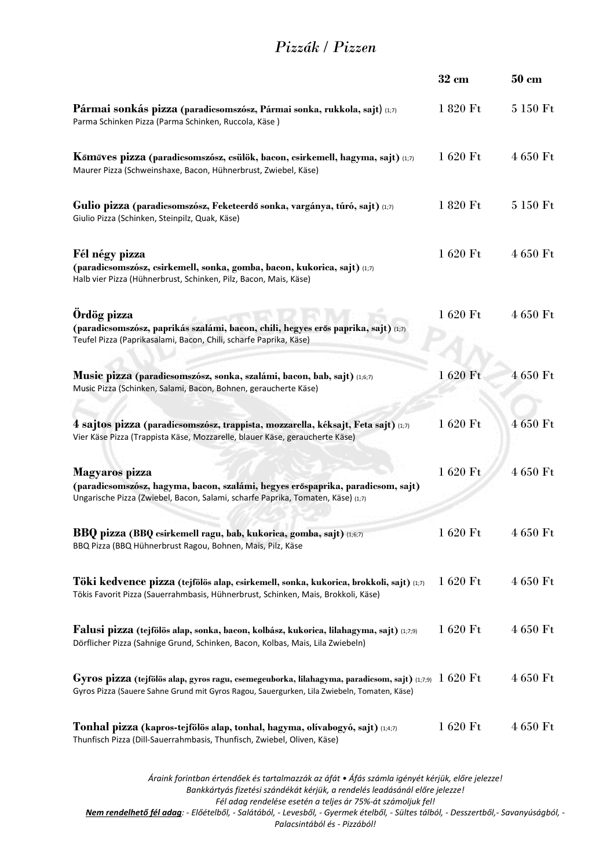### *Pizzák / Pizzen*

|                                                                                                                                                                                      | $32 \text{ cm}$ | $50 \text{ cm}$ |
|--------------------------------------------------------------------------------------------------------------------------------------------------------------------------------------|-----------------|-----------------|
| Pármai sonkás pizza (paradicsomszósz, Pármai sonka, rukkola, sajt) (1;7)<br>Parma Schinken Pizza (Parma Schinken, Ruccola, Käse)                                                     | 1 820 Ft        | 5 150 Ft        |
| Kőműves pizza (paradicsomszósz, csülök, bacon, csirkemell, hagyma, sajt) (1;7)<br>Maurer Pizza (Schweinshaxe, Bacon, Hühnerbrust, Zwiebel, Käse)                                     | 1 620 Ft        | 4 650 Ft        |
| Gulio pizza (paradicsomszósz, Feketeerdő sonka, vargánya, túró, sajt) (1;7)<br>Giulio Pizza (Schinken, Steinpilz, Quak, Käse)                                                        | 1 820 Ft        | 5 150 Ft        |
| Fél négy pizza<br>(paradicsomszósz, csirkemell, sonka, gomba, bacon, kukorica, sajt) (1;7)<br>Halb vier Pizza (Hühnerbrust, Schinken, Pilz, Bacon, Mais, Käse)                       | 1 620 Ft        | 4 650 Ft        |
| Ördög pizza<br>(paradicsomszósz, paprikás szalámi, bacon, chili, hegyes erős paprika, sajt) (1;7)<br>Teufel Pizza (Paprikasalami, Bacon, Chili, scharfe Paprika, Käse)               | 1 620 Ft        | 4 650 Ft        |
| Music pizza (paradicsomszósz, sonka, szalámi, bacon, bab, sajt) (1;6;7)<br>Music Pizza (Schinken, Salami, Bacon, Bohnen, geraucherte Käse)                                           | 1 620 Ft        | 4 650 Ft        |
| 4 sajtos pizza (paradicsomszósz, trappista, mozzarella, kéksajt, Feta sajt) (1;7)<br>Vier Käse Pizza (Trappista Käse, Mozzarelle, blauer Käse, geraucherte Käse)                     | 1 620 Ft        | 4 650 Ft        |
| Magyaros pizza<br>(paradicsomszósz, hagyma, bacon, szalámi, hegyes erőspaprika, paradicsom, sajt)<br>Ungarische Pizza (Zwiebel, Bacon, Salami, scharfe Paprika, Tomaten, Käse) (1;7) | 1 620 Ft        | 4 650 Ft        |
| BBQ pizza (BBQ csirkemell ragu, bab, kukorica, gomba, sajt) (1;6;7)<br>BBQ Pizza (BBQ Hühnerbrust Ragou, Bohnen, Mais, Pilz, Käse                                                    | 1 620 Ft        | 4 650 Ft        |
| Töki kedvence pizza (tejfölös alap, csirkemell, sonka, kukorica, brokkoli, sajt) (1;7)<br>Tökis Favorit Pizza (Sauerrahmbasis, Hühnerbrust, Schinken, Mais, Brokkoli, Käse)          | 1 620 Ft        | 4 650 Ft        |
| Falusi pizza (tejfölös alap, sonka, bacon, kolbász, kukorica, lilahagyma, sajt) (1;7;9)<br>Dörflicher Pizza (Sahnige Grund, Schinken, Bacon, Kolbas, Mais, Lila Zwiebeln)            | 1620 Ft         | 4 650 Ft        |
| Gyros Pizza (Sauere Sahne Grund mit Gyros Ragou, Sauergurken, Lila Zwiebeln, Tomaten, Käse)                                                                                          |                 | 4 650 Ft        |
| Tonhal pizza (kapros-tejfölös alap, tonhal, hagyma, olívabogyó, sajt) (1;4;7)<br>Thunfisch Pizza (Dill-Sauerrahmbasis, Thunfisch, Zwiebel, Oliven, Käse)                             | 1 620 Ft        | 4 650 Ft        |
| Áraink forintban értendőek és tartalmazzák az áfát • Áfás számla igényét kérjük, előre jelezze!                                                                                      |                 |                 |

*Bankkártyás fizetési szándékát kérjük, a rendelés leadásánál előre jelezze! Fél adag rendelése esetén a teljes ár 75%-át számoljuk fel!* 

*Nem rendelhető fél adag: - Előételből, - Salátából, - Levesből, - Gyermek ételből, - Sültes tálból, - Desszertből,- Savanyúságból, -* 

*Palacsintából és - Pizzából!*